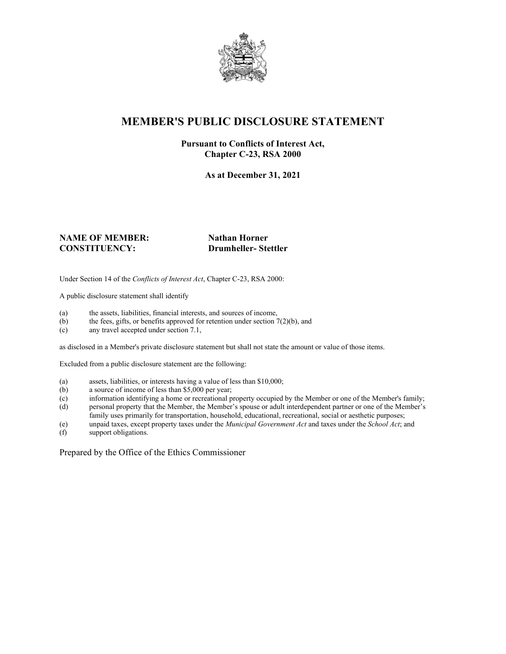

# **MEMBER'S PUBLIC DISCLOSURE STATEMENT**

#### **Pursuant to Conflicts of Interest Act, Chapter C-23, RSA 2000**

**As at December 31, 2021**

#### **NAME OF MEMBER:** Nathan Horner **CONSTITUENCY: Drumheller- Stettler**

Under Section 14 of the *Conflicts of Interest Act*, Chapter C-23, RSA 2000:

A public disclosure statement shall identify

- (a) the assets, liabilities, financial interests, and sources of income,  $(b)$  the fees, gifts, or benefits approved for retention under section 7
- the fees, gifts, or benefits approved for retention under section  $7(2)(b)$ , and
- (c) any travel accepted under section 7.1,

as disclosed in a Member's private disclosure statement but shall not state the amount or value of those items.

Excluded from a public disclosure statement are the following:

- (a) assets, liabilities, or interests having a value of less than \$10,000;
- (b) a source of income of less than \$5,000 per year;
- (c) information identifying a home or recreational property occupied by the Member or one of the Member's family;
- (d) personal property that the Member, the Member's spouse or adult interdependent partner or one of the Member's family uses primarily for transportation, household, educational, recreational, social or aesthetic purposes;
- (e) unpaid taxes, except property taxes under the *Municipal Government Act* and taxes under the *School Act*; and
- (f) support obligations.

Prepared by the Office of the Ethics Commissioner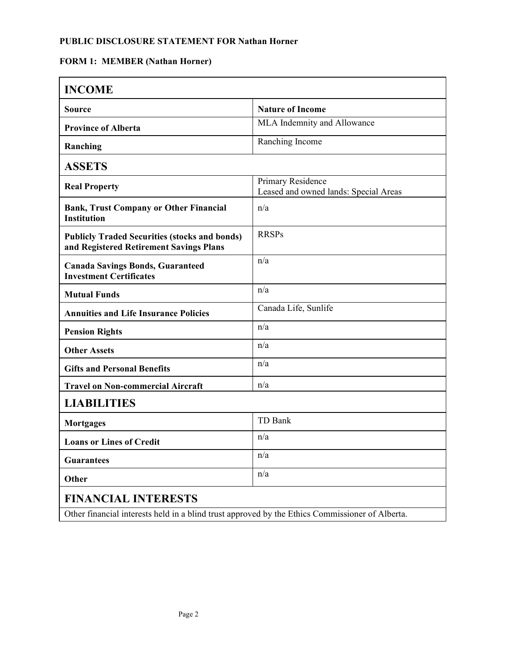#### **FORM 1: MEMBER (Nathan Horner)**

| <b>INCOME</b>                                                                                   |                                                            |  |
|-------------------------------------------------------------------------------------------------|------------------------------------------------------------|--|
| <b>Source</b>                                                                                   | <b>Nature of Income</b>                                    |  |
| <b>Province of Alberta</b>                                                                      | MLA Indemnity and Allowance                                |  |
| Ranching                                                                                        | Ranching Income                                            |  |
| <b>ASSETS</b>                                                                                   |                                                            |  |
| <b>Real Property</b>                                                                            | Primary Residence<br>Leased and owned lands: Special Areas |  |
| <b>Bank, Trust Company or Other Financial</b><br><b>Institution</b>                             | n/a                                                        |  |
| <b>Publicly Traded Securities (stocks and bonds)</b><br>and Registered Retirement Savings Plans | <b>RRSPs</b>                                               |  |
| <b>Canada Savings Bonds, Guaranteed</b><br><b>Investment Certificates</b>                       | n/a                                                        |  |
| <b>Mutual Funds</b>                                                                             | n/a                                                        |  |
| <b>Annuities and Life Insurance Policies</b>                                                    | Canada Life, Sunlife                                       |  |
| <b>Pension Rights</b>                                                                           | n/a                                                        |  |
| <b>Other Assets</b>                                                                             | n/a                                                        |  |
| <b>Gifts and Personal Benefits</b>                                                              | n/a                                                        |  |
| <b>Travel on Non-commercial Aircraft</b>                                                        | n/a                                                        |  |
| <b>LIABILITIES</b>                                                                              |                                                            |  |
| <b>Mortgages</b>                                                                                | TD Bank                                                    |  |
| <b>Loans or Lines of Credit</b>                                                                 | n/a                                                        |  |
| <b>Guarantees</b>                                                                               | n/a                                                        |  |
| Other                                                                                           | n/a                                                        |  |
| <b>FINANCIAL INTERESTS</b>                                                                      |                                                            |  |

Other financial interests held in a blind trust approved by the Ethics Commissioner of Alberta.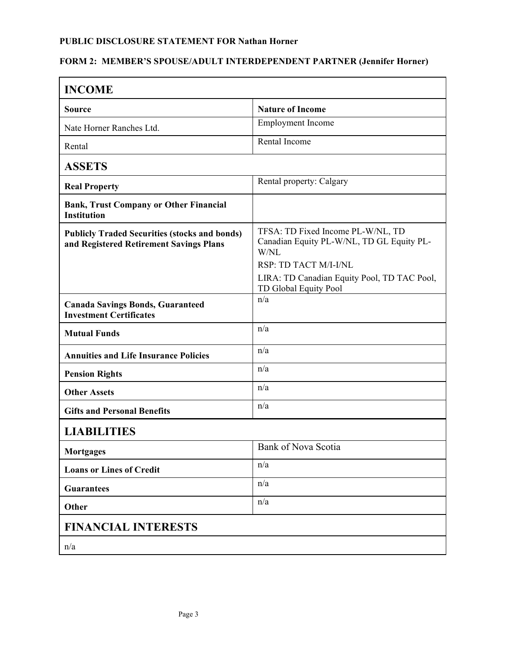## **FORM 2: MEMBER'S SPOUSE/ADULT INTERDEPENDENT PARTNER (Jennifer Horner)**

| <b>INCOME</b>                                                                                   |                                                                                               |  |
|-------------------------------------------------------------------------------------------------|-----------------------------------------------------------------------------------------------|--|
| <b>Source</b>                                                                                   | <b>Nature of Income</b>                                                                       |  |
| Nate Horner Ranches Ltd.                                                                        | <b>Employment</b> Income                                                                      |  |
| Rental                                                                                          | Rental Income                                                                                 |  |
| <b>ASSETS</b>                                                                                   |                                                                                               |  |
| <b>Real Property</b>                                                                            | Rental property: Calgary                                                                      |  |
| <b>Bank, Trust Company or Other Financial</b><br><b>Institution</b>                             |                                                                                               |  |
| <b>Publicly Traded Securities (stocks and bonds)</b><br>and Registered Retirement Savings Plans | TFSA: TD Fixed Income PL-W/NL, TD<br>Canadian Equity PL-W/NL, TD GL Equity PL-<br>W/NL        |  |
|                                                                                                 | RSP: TD TACT M/I-I/NL<br>LIRA: TD Canadian Equity Pool, TD TAC Pool,<br>TD Global Equity Pool |  |
| <b>Canada Savings Bonds, Guaranteed</b><br><b>Investment Certificates</b>                       | n/a                                                                                           |  |
| <b>Mutual Funds</b>                                                                             | n/a                                                                                           |  |
| <b>Annuities and Life Insurance Policies</b>                                                    | n/a                                                                                           |  |
| <b>Pension Rights</b>                                                                           | n/a                                                                                           |  |
| <b>Other Assets</b>                                                                             | n/a                                                                                           |  |
| <b>Gifts and Personal Benefits</b>                                                              | n/a                                                                                           |  |
| <b>LIABILITIES</b>                                                                              |                                                                                               |  |
| <b>Mortgages</b>                                                                                | Bank of Nova Scotia                                                                           |  |
| <b>Loans or Lines of Credit</b>                                                                 | n/a                                                                                           |  |
| <b>Guarantees</b>                                                                               | n/a                                                                                           |  |
| Other                                                                                           | n/a                                                                                           |  |
| <b>FINANCIAL INTERESTS</b>                                                                      |                                                                                               |  |
| n/a                                                                                             |                                                                                               |  |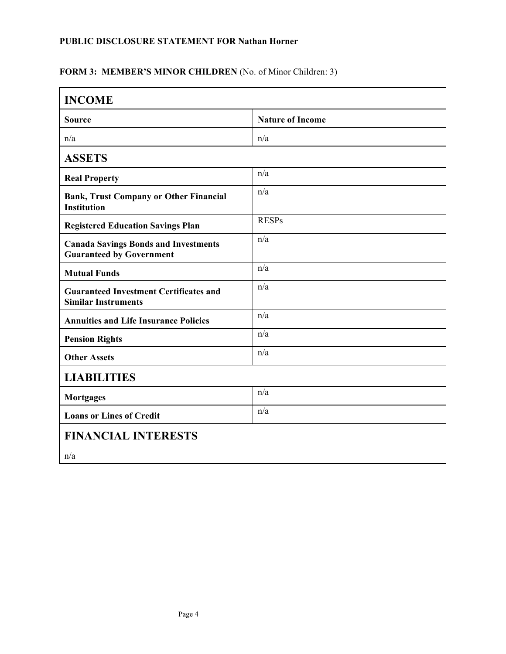#### FORM 3: MEMBER'S MINOR CHILDREN (No. of Minor Children: 3)

| <b>INCOME</b>                                                                  |                         |  |
|--------------------------------------------------------------------------------|-------------------------|--|
| <b>Source</b>                                                                  | <b>Nature of Income</b> |  |
| n/a                                                                            | n/a                     |  |
| <b>ASSETS</b>                                                                  |                         |  |
| <b>Real Property</b>                                                           | n/a                     |  |
| <b>Bank, Trust Company or Other Financial</b><br><b>Institution</b>            | n/a                     |  |
| <b>Registered Education Savings Plan</b>                                       | <b>RESPs</b>            |  |
| <b>Canada Savings Bonds and Investments</b><br><b>Guaranteed by Government</b> | n/a                     |  |
| <b>Mutual Funds</b>                                                            | n/a                     |  |
| <b>Guaranteed Investment Certificates and</b><br><b>Similar Instruments</b>    | n/a                     |  |
| <b>Annuities and Life Insurance Policies</b>                                   | n/a                     |  |
| <b>Pension Rights</b>                                                          | n/a                     |  |
| <b>Other Assets</b>                                                            | n/a                     |  |
| <b>LIABILITIES</b>                                                             |                         |  |
| <b>Mortgages</b>                                                               | n/a                     |  |
| <b>Loans or Lines of Credit</b>                                                | n/a                     |  |
| <b>FINANCIAL INTERESTS</b>                                                     |                         |  |
| n/a                                                                            |                         |  |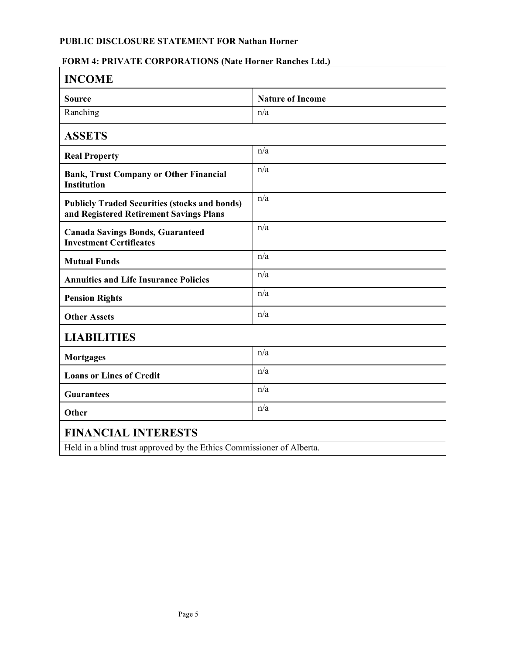## **FORM 4: PRIVATE CORPORATIONS (Nate Horner Ranches Ltd.)**

| <b>INCOME</b>                                                                                   |                         |  |
|-------------------------------------------------------------------------------------------------|-------------------------|--|
| <b>Source</b>                                                                                   | <b>Nature of Income</b> |  |
| Ranching                                                                                        | n/a                     |  |
| <b>ASSETS</b>                                                                                   |                         |  |
| <b>Real Property</b>                                                                            | n/a                     |  |
| <b>Bank, Trust Company or Other Financial</b><br><b>Institution</b>                             | n/a                     |  |
| <b>Publicly Traded Securities (stocks and bonds)</b><br>and Registered Retirement Savings Plans | n/a                     |  |
| <b>Canada Savings Bonds, Guaranteed</b><br><b>Investment Certificates</b>                       | n/a                     |  |
| <b>Mutual Funds</b>                                                                             | n/a                     |  |
| <b>Annuities and Life Insurance Policies</b>                                                    | n/a                     |  |
| <b>Pension Rights</b>                                                                           | n/a                     |  |
| <b>Other Assets</b>                                                                             | n/a                     |  |
| <b>LIABILITIES</b>                                                                              |                         |  |
| <b>Mortgages</b>                                                                                | n/a                     |  |
| <b>Loans or Lines of Credit</b>                                                                 | n/a                     |  |
| <b>Guarantees</b>                                                                               | n/a                     |  |
| Other                                                                                           | n/a                     |  |
| <b>FINANCIAL INTERESTS</b>                                                                      |                         |  |
| Held in a blind trust approved by the Ethics Commissioner of Alberta.                           |                         |  |